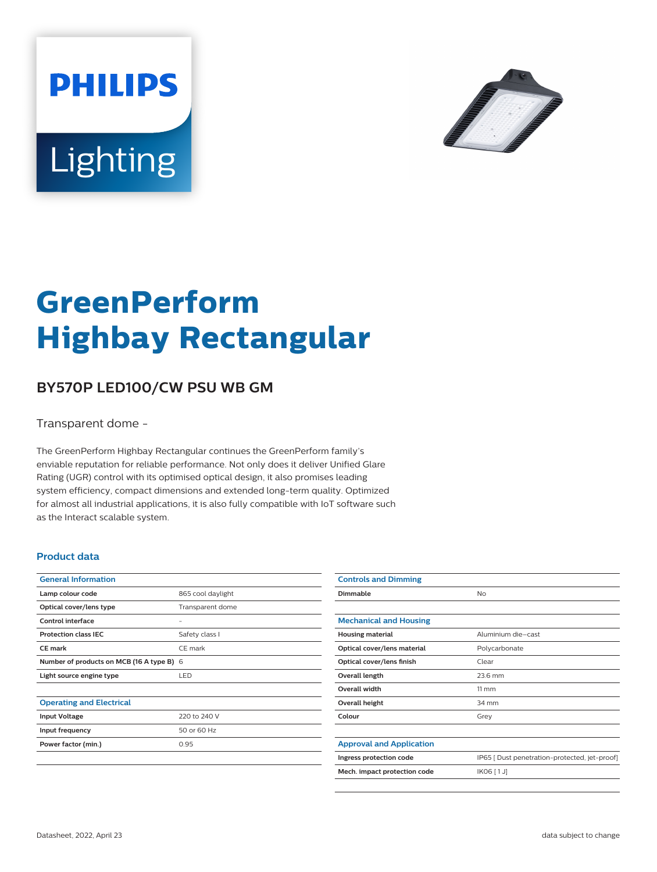



# **GreenPerform Highbay Rectangular**

## **BY570P LED100/CW PSU WB GM**

Transparent dome -

The GreenPerform Highbay Rectangular continues the GreenPerform family's enviable reputation for reliable performance. Not only does it deliver Unified Glare Rating (UGR) control with its optimised optical design, it also promises leading system efficiency, compact dimensions and extended long-term quality. Optimized for almost all industrial applications, it is also fully compatible with IoT software such as the Interact scalable system.

#### **Product data**

| <b>General Information</b>                |                   |
|-------------------------------------------|-------------------|
| Lamp colour code                          | 865 cool daylight |
| Optical cover/lens type                   | Transparent dome  |
| Control interface                         |                   |
| <b>Protection class IEC</b>               | Safety class I    |
| CF mark                                   | CF mark           |
| Number of products on MCB (16 A type B) 6 |                   |
| Light source engine type                  | LED               |
|                                           |                   |
| <b>Operating and Electrical</b>           |                   |
| <b>Input Voltage</b>                      | 220 to 240 V      |
| Input frequency                           | 50 or 60 Hz       |
| Power factor (min.)                       | 0.95              |
|                                           |                   |

| <b>Controls and Dimming</b>     |                                               |
|---------------------------------|-----------------------------------------------|
| Dimmable                        | <b>No</b>                                     |
|                                 |                                               |
| <b>Mechanical and Housing</b>   |                                               |
| <b>Housing material</b>         | Aluminium die-cast                            |
| Optical cover/lens material     | Polycarbonate                                 |
| Optical cover/lens finish       | Clear                                         |
| Overall length                  | 23.6 mm                                       |
| <b>Overall width</b>            | $11 \, \mathrm{mm}$                           |
| Overall height                  | 34 mm                                         |
| Colour                          | Grey                                          |
|                                 |                                               |
| <b>Approval and Application</b> |                                               |
| Ingress protection code         | IP65   Dust penetration-protected, jet-proof] |
| Mech. impact protection code    | IK06 [1J]                                     |
|                                 |                                               |